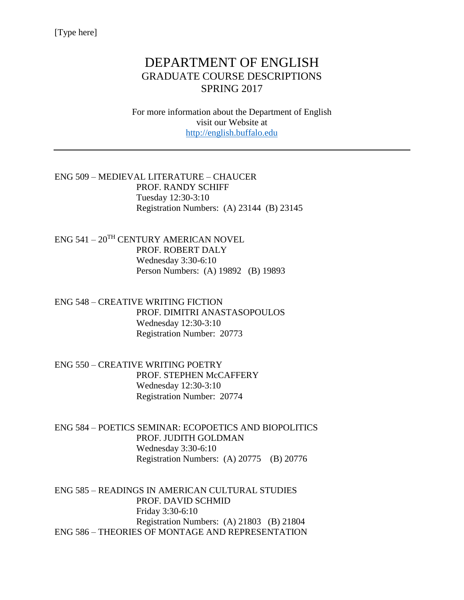# DEPARTMENT OF ENGLISH GRADUATE COURSE DESCRIPTIONS SPRING 2017

For more information about the Department of English visit our Website at [http://english.buffalo.edu](http://english.buffalo.edu/)

ENG 509 – MEDIEVAL LITERATURE – CHAUCER PROF. RANDY SCHIFF Tuesday 12:30-3:10 Registration Numbers: (A) 23144 (B) 23145

ENG 541 – 20TH CENTURY AMERICAN NOVEL PROF. ROBERT DALY Wednesday 3:30-6:10 Person Numbers: (A) 19892 (B) 19893

ENG 548 – CREATIVE WRITING FICTION PROF. DIMITRI ANASTASOPOULOS Wednesday 12:30-3:10 Registration Number: 20773

ENG 550 – CREATIVE WRITING POETRY PROF. STEPHEN McCAFFERY Wednesday 12:30-3:10 Registration Number: 20774

ENG 584 – POETICS SEMINAR: ECOPOETICS AND BIOPOLITICS PROF. JUDITH GOLDMAN Wednesday 3:30-6:10 Registration Numbers: (A) 20775 (B) 20776

ENG 585 – READINGS IN AMERICAN CULTURAL STUDIES PROF. DAVID SCHMID Friday 3:30-6:10 Registration Numbers: (A) 21803 (B) 21804 ENG 586 – THEORIES OF MONTAGE AND REPRESENTATION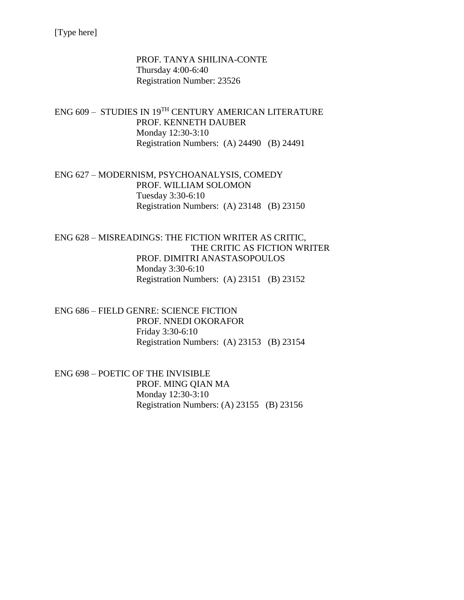PROF. TANYA SHILINA-CONTE Thursday 4:00-6:40 Registration Number: 23526

ENG 609 – STUDIES IN 19TH CENTURY AMERICAN LITERATURE PROF. KENNETH DAUBER Monday 12:30-3:10 Registration Numbers: (A) 24490 (B) 24491

ENG 627 – MODERNISM, PSYCHOANALYSIS, COMEDY PROF. WILLIAM SOLOMON Tuesday 3:30-6:10 Registration Numbers: (A) 23148 (B) 23150

ENG 628 – MISREADINGS: THE FICTION WRITER AS CRITIC, THE CRITIC AS FICTION WRITER PROF. DIMITRI ANASTASOPOULOS Monday 3:30-6:10 Registration Numbers: (A) 23151 (B) 23152

ENG 686 – FIELD GENRE: SCIENCE FICTION PROF. NNEDI OKORAFOR Friday 3:30-6:10 Registration Numbers: (A) 23153 (B) 23154

ENG 698 – POETIC OF THE INVISIBLE PROF. MING QIAN MA Monday 12:30-3:10 Registration Numbers: (A) 23155 (B) 23156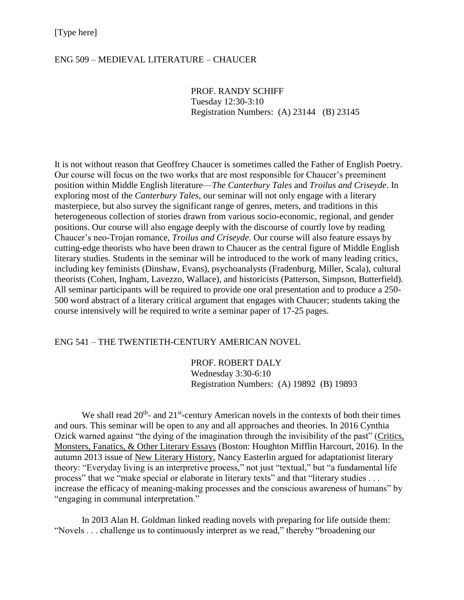#### ENG 509 – MEDIEVAL LITERATURE – CHAUCER

PROF. RANDY SCHIFF Tuesday 12:30-3:10 Registration Numbers: (A) 23144 (B) 23145

It is not without reason that Geoffrey Chaucer is sometimes called the Father of English Poetry. Our course will focus on the two works that are most responsible for Chaucer's preeminent position within Middle English literature—*The Canterbury Tales* and *Troilus and Criseyde*. In exploring most of the *Canterbury Tales*, our seminar will not only engage with a literary masterpiece, but also survey the significant range of genres, meters, and traditions in this heterogeneous collection of stories drawn from various socio-economic, regional, and gender positions. Our course will also engage deeply with the discourse of courtly love by reading Chaucer's neo-Trojan romance, *Troilus and Criseyde*. Our course will also feature essays by cutting-edge theorists who have been drawn to Chaucer as the central figure of Middle English literary studies. Students in the seminar will be introduced to the work of many leading critics, including key feminists (Dinshaw, Evans), psychoanalysts (Fradenburg, Miller, Scala), cultural theorists (Cohen, Ingham, Lavezzo, Wallace), and historicists (Patterson, Simpson, Butterfield). All seminar participants will be required to provide one oral presentation and to produce a 250- 500 word abstract of a literary critical argument that engages with Chaucer; students taking the course intensively will be required to write a seminar paper of 17-25 pages.

#### ENG 541 – THE TWENTIETH-CENTURY AMERICAN NOVEL

PROF. ROBERT DALY Wednesday 3:30-6:10 Registration Numbers: (A) 19892 (B) 19893

We shall read  $20<sup>th</sup>$ - and  $21<sup>st</sup>$ -century American novels in the contexts of both their times and ours. This seminar will be open to any and all approaches and theories. In 2016 Cynthia Ozick warned against "the dying of the imagination through the invisibility of the past" (Critics, Monsters, Fanatics, & Other Literary Essays (Boston: Houghton Mifflin Harcourt, 2016). In the autumn 2013 issue of New Literary History, Nancy Easterlin argued for adaptationist literary theory: "Everyday living is an interpretive process," not just "textual," but "a fundamental life process" that we "make special or elaborate in literary texts" and that "literary studies . . . increase the efficacy of meaning-making processes and the conscious awareness of humans" by "engaging in communal interpretation."

In 20I3 Alan H. Goldman linked reading novels with preparing for life outside them: "Novels . . . challenge us to continuously interpret as we read," thereby "broadening our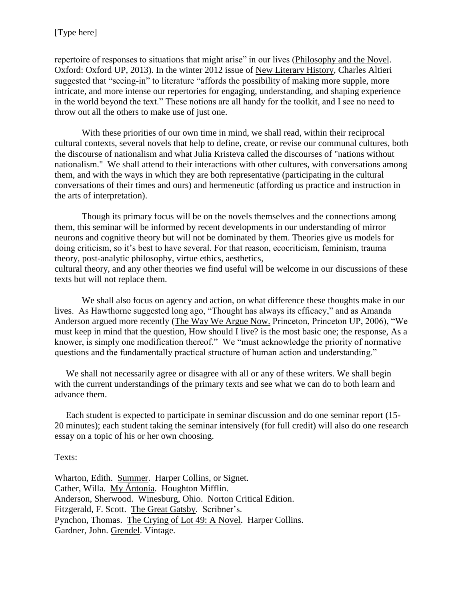repertoire of responses to situations that might arise" in our lives (Philosophy and the Novel. Oxford: Oxford UP, 2013). In the winter 2012 issue of New Literary History, Charles Altieri suggested that "seeing-in" to literature "affords the possibility of making more supple, more intricate, and more intense our repertories for engaging, understanding, and shaping experience in the world beyond the text." These notions are all handy for the toolkit, and I see no need to throw out all the others to make use of just one.

With these priorities of our own time in mind, we shall read, within their reciprocal cultural contexts, several novels that help to define, create, or revise our communal cultures, both the discourse of nationalism and what Julia Kristeva called the discourses of "nations without nationalism." We shall attend to their interactions with other cultures, with conversations among them, and with the ways in which they are both representative (participating in the cultural conversations of their times and ours) and hermeneutic (affording us practice and instruction in the arts of interpretation).

Though its primary focus will be on the novels themselves and the connections among them, this seminar will be informed by recent developments in our understanding of mirror neurons and cognitive theory but will not be dominated by them. Theories give us models for doing criticism, so it's best to have several. For that reason, ecocriticism, feminism, trauma theory, post-analytic philosophy, virtue ethics, aesthetics,

cultural theory, and any other theories we find useful will be welcome in our discussions of these texts but will not replace them.

We shall also focus on agency and action, on what difference these thoughts make in our lives. As Hawthorne suggested long ago, "Thought has always its efficacy," and as Amanda Anderson argued more recently (The Way We Argue Now. Princeton, Princeton UP, 2006), "We must keep in mind that the question, How should I live? is the most basic one; the response, As a knower, is simply one modification thereof." We "must acknowledge the priority of normative questions and the fundamentally practical structure of human action and understanding."

We shall not necessarily agree or disagree with all or any of these writers. We shall begin with the current understandings of the primary texts and see what we can do to both learn and advance them.

 Each student is expected to participate in seminar discussion and do one seminar report (15- 20 minutes); each student taking the seminar intensively (for full credit) will also do one research essay on a topic of his or her own choosing.

Texts:

Wharton, Edith. Summer. Harper Collins, or Signet. Cather, Willa. My Ántonía. Houghton Mifflin. Anderson, Sherwood. Winesburg, Ohio. Norton Critical Edition. Fitzgerald, F. Scott. The Great Gatsby. Scribner's. Pynchon, Thomas. The Crying of Lot 49: A Novel. Harper Collins. Gardner, John. Grendel. Vintage.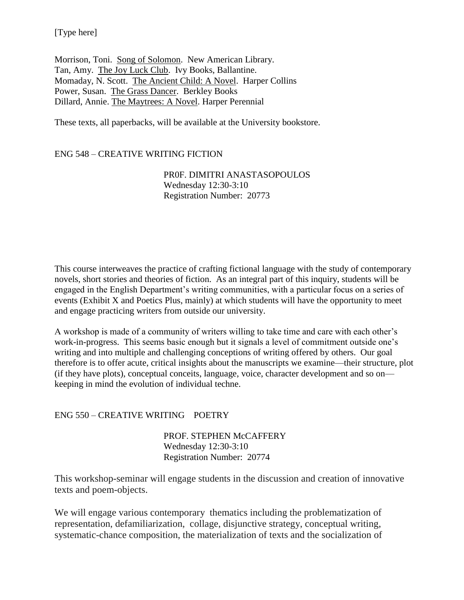Morrison, Toni. Song of Solomon. New American Library. Tan, Amy. The Joy Luck Club. Ivy Books, Ballantine. Momaday, N. Scott. The Ancient Child: A Novel. Harper Collins Power, Susan. The Grass Dancer. Berkley Books Dillard, Annie. The Maytrees: A Novel. Harper Perennial

These texts, all paperbacks, will be available at the University bookstore.

#### ENG 548 – CREATIVE WRITING FICTION

PR0F. DIMITRI ANASTASOPOULOS Wednesday 12:30-3:10 Registration Number: 20773

This course interweaves the practice of crafting fictional language with the study of contemporary novels, short stories and theories of fiction. As an integral part of this inquiry, students will be engaged in the English Department's writing communities, with a particular focus on a series of events (Exhibit X and Poetics Plus, mainly) at which students will have the opportunity to meet and engage practicing writers from outside our university.

A workshop is made of a community of writers willing to take time and care with each other's work-in-progress. This seems basic enough but it signals a level of commitment outside one's writing and into multiple and challenging conceptions of writing offered by others. Our goal therefore is to offer acute, critical insights about the manuscripts we examine—their structure, plot (if they have plots), conceptual conceits, language, voice, character development and so on keeping in mind the evolution of individual techne.

#### ENG 550 – CREATIVE WRITING POETRY

PROF. STEPHEN McCAFFERY Wednesday 12:30-3:10 Registration Number: 20774

This workshop-seminar will engage students in the discussion and creation of innovative texts and poem-objects.

We will engage various contemporary thematics including the problematization of representation, defamiliarization, collage, disjunctive strategy, conceptual writing, systematic-chance composition, the materialization of texts and the socialization of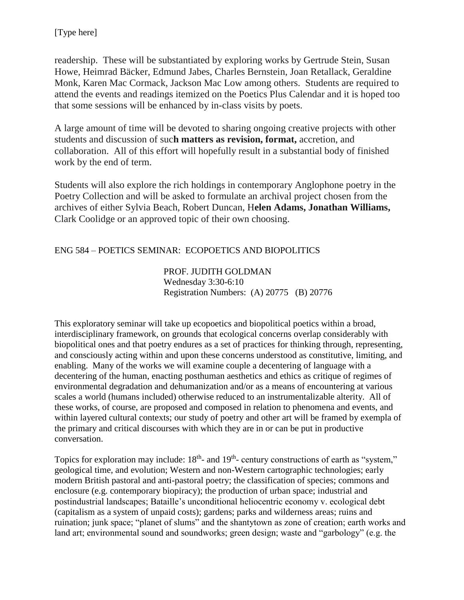readership. These will be substantiated by exploring works by Gertrude Stein, Susan Howe, Heimrad Bäcker, Edmund Jabes, Charles Bernstein, Joan Retallack, Geraldine Monk, Karen Mac Cormack, Jackson Mac Low among others. Students are required to attend the events and readings itemized on the Poetics Plus Calendar and it is hoped too that some sessions will be enhanced by in-class visits by poets.

A large amount of time will be devoted to sharing ongoing creative projects with other students and discussion of suc**h matters as revision, format,** accretion, and collaboration. All of this effort will hopefully result in a substantial body of finished work by the end of term.

Students will also explore the rich holdings in contemporary Anglophone poetry in the Poetry Collection and will be asked to formulate an archival project chosen from the archives of either Sylvia Beach, Robert Duncan, H**elen Adams, Jonathan Williams,**  Clark Coolidge or an approved topic of their own choosing.

# ENG 584 – POETICS SEMINAR: ECOPOETICS AND BIOPOLITICS

PROF. JUDITH GOLDMAN Wednesday 3:30-6:10 Registration Numbers: (A) 20775 (B) 20776

This exploratory seminar will take up ecopoetics and biopolitical poetics within a broad, interdisciplinary framework, on grounds that ecological concerns overlap considerably with biopolitical ones and that poetry endures as a set of practices for thinking through, representing, and consciously acting within and upon these concerns understood as constitutive, limiting, and enabling. Many of the works we will examine couple a decentering of language with a decentering of the human, enacting posthuman aesthetics and ethics as critique of regimes of environmental degradation and dehumanization and/or as a means of encountering at various scales a world (humans included) otherwise reduced to an instrumentalizable alterity. All of these works, of course, are proposed and composed in relation to phenomena and events, and within layered cultural contexts; our study of poetry and other art will be framed by exempla of the primary and critical discourses with which they are in or can be put in productive conversation.

Topics for exploration may include:  $18<sup>th</sup>$ - and  $19<sup>th</sup>$ - century constructions of earth as "system," geological time, and evolution; Western and non-Western cartographic technologies; early modern British pastoral and anti-pastoral poetry; the classification of species; commons and enclosure (e.g. contemporary biopiracy); the production of urban space; industrial and postindustrial landscapes; Bataille's unconditional heliocentric economy v. ecological debt (capitalism as a system of unpaid costs); gardens; parks and wilderness areas; ruins and ruination; junk space; "planet of slums" and the shantytown as zone of creation; earth works and land art; environmental sound and soundworks; green design; waste and "garbology" (e.g. the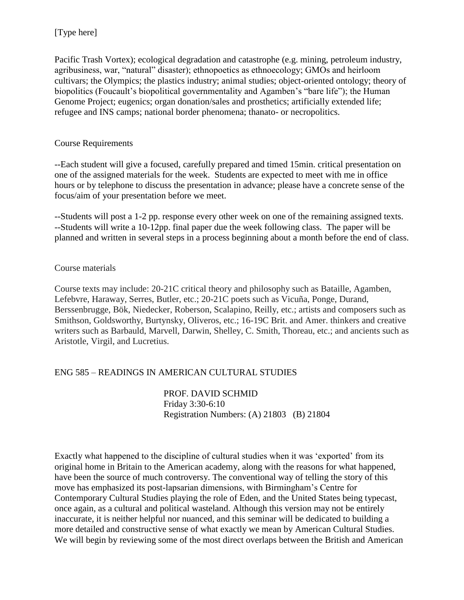Pacific Trash Vortex); ecological degradation and catastrophe (e.g. mining, petroleum industry, agribusiness, war, "natural" disaster); ethnopoetics as ethnoecology; GMOs and heirloom cultivars; the Olympics; the plastics industry; animal studies; object-oriented ontology; theory of biopolitics (Foucault's biopolitical governmentality and Agamben's "bare life"); the Human Genome Project; eugenics; organ donation/sales and prosthetics; artificially extended life; refugee and INS camps; national border phenomena; thanato- or necropolitics.

### Course Requirements

--Each student will give a focused, carefully prepared and timed 15min. critical presentation on one of the assigned materials for the week. Students are expected to meet with me in office hours or by telephone to discuss the presentation in advance; please have a concrete sense of the focus/aim of your presentation before we meet.

--Students will post a 1-2 pp. response every other week on one of the remaining assigned texts. --Students will write a 10-12pp. final paper due the week following class. The paper will be planned and written in several steps in a process beginning about a month before the end of class.

### Course materials

Course texts may include: 20-21C critical theory and philosophy such as Bataille, Agamben, Lefebvre, Haraway, Serres, Butler, etc.; 20-21C poets such as Vicuña, Ponge, Durand, Berssenbrugge, Bök, Niedecker, Roberson, Scalapino, Reilly, etc.; artists and composers such as Smithson, Goldsworthy, Burtynsky, Oliveros, etc.; 16-19C Brit. and Amer. thinkers and creative writers such as Barbauld, Marvell, Darwin, Shelley, C. Smith, Thoreau, etc.; and ancients such as Aristotle, Virgil, and Lucretius.

# ENG 585 – READINGS IN AMERICAN CULTURAL STUDIES

PROF. DAVID SCHMID Friday 3:30-6:10 Registration Numbers: (A) 21803 (B) 21804

Exactly what happened to the discipline of cultural studies when it was 'exported' from its original home in Britain to the American academy, along with the reasons for what happened, have been the source of much controversy. The conventional way of telling the story of this move has emphasized its post-lapsarian dimensions, with Birmingham's Centre for Contemporary Cultural Studies playing the role of Eden, and the United States being typecast, once again, as a cultural and political wasteland. Although this version may not be entirely inaccurate, it is neither helpful nor nuanced, and this seminar will be dedicated to building a more detailed and constructive sense of what exactly we mean by American Cultural Studies. We will begin by reviewing some of the most direct overlaps between the British and American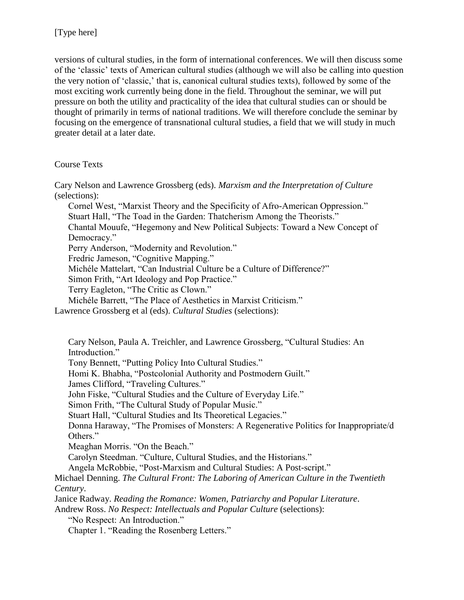versions of cultural studies, in the form of international conferences. We will then discuss some of the 'classic' texts of American cultural studies (although we will also be calling into question the very notion of 'classic,' that is, canonical cultural studies texts), followed by some of the most exciting work currently being done in the field. Throughout the seminar, we will put pressure on both the utility and practicality of the idea that cultural studies can or should be thought of primarily in terms of national traditions. We will therefore conclude the seminar by focusing on the emergence of transnational cultural studies, a field that we will study in much greater detail at a later date.

Course Texts

Cary Nelson and Lawrence Grossberg (eds). *Marxism and the Interpretation of Culture* (selections):

Cornel West, "Marxist Theory and the Specificity of Afro-American Oppression." Stuart Hall, "The Toad in the Garden: Thatcherism Among the Theorists."

Chantal Mouufe, "Hegemony and New Political Subjects: Toward a New Concept of Democracy."

Perry Anderson, "Modernity and Revolution."

Fredric Jameson, "Cognitive Mapping."

Michéle Mattelart, "Can Industrial Culture be a Culture of Difference?"

Simon Frith, "Art Ideology and Pop Practice."

Terry Eagleton, "The Critic as Clown."

Michéle Barrett, "The Place of Aesthetics in Marxist Criticism."

Lawrence Grossberg et al (eds). *Cultural Studies* (selections):

Cary Nelson, Paula A. Treichler, and Lawrence Grossberg, "Cultural Studies: An Introduction."

Tony Bennett, "Putting Policy Into Cultural Studies."

Homi K. Bhabha, "Postcolonial Authority and Postmodern Guilt."

James Clifford, "Traveling Cultures."

John Fiske, "Cultural Studies and the Culture of Everyday Life."

Simon Frith, "The Cultural Study of Popular Music."

Stuart Hall, "Cultural Studies and Its Theoretical Legacies."

Donna Haraway, "The Promises of Monsters: A Regenerative Politics for Inappropriate/d Others."

Meaghan Morris. "On the Beach."

Carolyn Steedman. "Culture, Cultural Studies, and the Historians."

Angela McRobbie, "Post-Marxism and Cultural Studies: A Post-script."

Michael Denning. *The Cultural Front: The Laboring of American Culture in the Twentieth Century*.

Janice Radway. *Reading the Romance: Women, Patriarchy and Popular Literature*.

Andrew Ross. *No Respect: Intellectuals and Popular Culture* (selections): "No Respect: An Introduction."

Chapter 1. "Reading the Rosenberg Letters."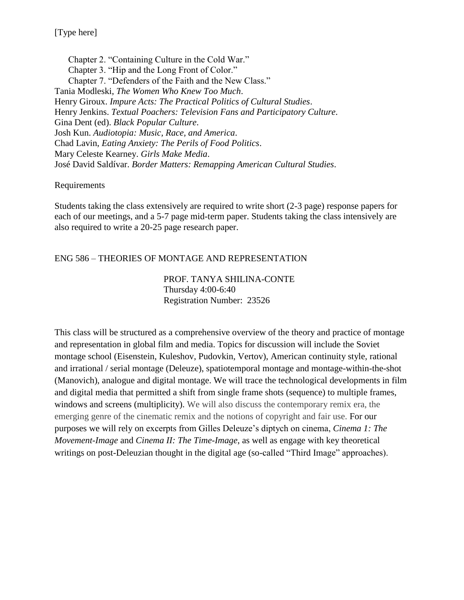Chapter 2. "Containing Culture in the Cold War." Chapter 3. "Hip and the Long Front of Color." Chapter 7. "Defenders of the Faith and the New Class." Tania Modleski, *The Women Who Knew Too Much*. Henry Giroux. *Impure Acts: The Practical Politics of Cultural Studies*. Henry Jenkins. *Textual Poachers: Television Fans and Participatory Culture*. Gina Dent (ed). *Black Popular Culture*. Josh Kun. *Audiotopia: Music, Race, and America*. Chad Lavin, *Eating Anxiety: The Perils of Food Politics*. Mary Celeste Kearney. *Girls Make Media*. José David Saldívar. *Border Matters: Remapping American Cultural Studies*.

#### Requirements

Students taking the class extensively are required to write short (2-3 page) response papers for each of our meetings, and a 5-7 page mid-term paper. Students taking the class intensively are also required to write a 20-25 page research paper.

#### ENG 586 – THEORIES OF MONTAGE AND REPRESENTATION

PROF. TANYA SHILINA-CONTE Thursday 4:00-6:40 Registration Number: 23526

This class will be structured as a comprehensive overview of the theory and practice of montage and representation in global film and media. Topics for discussion will include the Soviet montage school (Eisenstein, Kuleshov, Pudovkin, Vertov), American continuity style, rational and irrational / serial montage (Deleuze), spatiotemporal montage and montage-within-the-shot (Manovich), analogue and digital montage. We will trace the technological developments in film and digital media that permitted a shift from single frame shots (sequence) to multiple frames, windows and screens (multiplicity). We will also discuss the contemporary remix era, the emerging genre of the cinematic remix and the notions of copyright and fair use. For our purposes we will rely on excerpts from Gilles Deleuze's diptych on cinema, *Cinema 1: The Movement-Image* and *Cinema II: The Time-Image*, as well as engage with key theoretical writings on post-Deleuzian thought in the digital age (so-called "Third Image" approaches).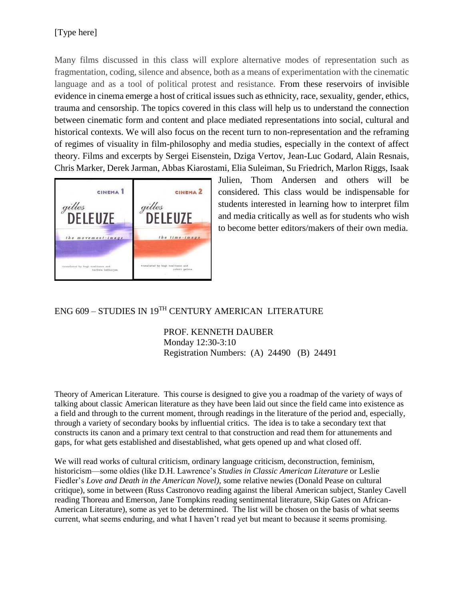Many films discussed in this class will explore alternative modes of representation such as fragmentation, coding, silence and absence, both as a means of experimentation with the cinematic language and as a tool of political protest and resistance. From these reservoirs of invisible evidence in cinema emerge a host of critical issues such as ethnicity, race, sexuality, gender, ethics, trauma and censorship. The topics covered in this class will help us to understand the connection between cinematic form and content and place mediated representations into social, cultural and historical contexts. We will also focus on the recent turn to non-representation and the reframing of regimes of visuality in film-philosophy and media studies, especially in the context of affect theory. Films and excerpts by Sergei Eisenstein, Dziga Vertov, Jean-Luc Godard, Alain Resnais, Chris Marker, Derek Jarman, Abbas Kiarostami, Elia Suleiman, Su Friedrich, Marlon Riggs, Isaak



Julien, Thom Andersen and others will be considered. This class would be indispensable for students interested in learning how to interpret film and media critically as well as for students who wish to become better editors/makers of their own media.

# ENG 609 – STUDIES IN 19TH CENTURY AMERICAN LITERATURE

PROF. KENNETH DAUBER Monday 12:30-3:10 Registration Numbers: (A) 24490 (B) 24491

Theory of American Literature. This course is designed to give you a roadmap of the variety of ways of talking about classic American literature as they have been laid out since the field came into existence as a field and through to the current moment, through readings in the literature of the period and, especially, through a variety of secondary books by influential critics. The idea is to take a secondary text that constructs its canon and a primary text central to that construction and read them for attunements and gaps, for what gets established and disestablished, what gets opened up and what closed off.

We will read works of cultural criticism, ordinary language criticism, deconstruction, feminism, historicism—some oldies (like D.H. Lawrence's *Studies in Classic American Literature* or Leslie Fiedler's *Love and Death in the American Novel),* some relative newies (Donald Pease on cultural critique), some in between (Russ Castronovo reading against the liberal American subject, Stanley Cavell reading Thoreau and Emerson, Jane Tompkins reading sentimental literature, Skip Gates on African-American Literature), some as yet to be determined. The list will be chosen on the basis of what seems current, what seems enduring, and what I haven't read yet but meant to because it seems promising.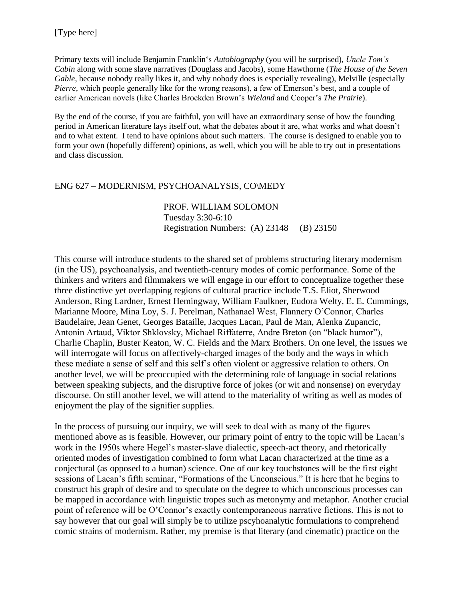Primary texts will include Benjamin Franklin's *Autobiography* (you will be surprised), *Uncle Tom's Cabin* along with some slave narratives (Douglass and Jacobs), some Hawthorne (*The House of the Seven Gable*, because nobody really likes it, and why nobody does is especially revealing), Melville (especially *Pierre*, which people generally like for the wrong reasons), a few of Emerson's best, and a couple of earlier American novels (like Charles Brockden Brown's *Wieland* and Cooper's *The Prairie*).

By the end of the course, if you are faithful, you will have an extraordinary sense of how the founding period in American literature lays itself out, what the debates about it are, what works and what doesn't and to what extent. I tend to have opinions about such matters. The course is designed to enable you to form your own (hopefully different) opinions, as well, which you will be able to try out in presentations and class discussion.

### ENG 627 – MODERNISM, PSYCHOANALYSIS, CO\MEDY

PROF. WILLIAM SOLOMON Tuesday 3:30-6:10 Registration Numbers: (A) 23148 (B) 23150

This course will introduce students to the shared set of problems structuring literary modernism (in the US), psychoanalysis, and twentieth-century modes of comic performance. Some of the thinkers and writers and filmmakers we will engage in our effort to conceptualize together these three distinctive yet overlapping regions of cultural practice include T.S. Eliot, Sherwood Anderson, Ring Lardner, Ernest Hemingway, William Faulkner, Eudora Welty, E. E. Cummings, Marianne Moore, Mina Loy, S. J. Perelman, Nathanael West, Flannery O'Connor, Charles Baudelaire, Jean Genet, Georges Bataille, Jacques Lacan, Paul de Man, Alenka Zupancic, Antonin Artaud, Viktor Shklovsky, Michael Riffaterre, Andre Breton (on "black humor"), Charlie Chaplin, Buster Keaton, W. C. Fields and the Marx Brothers. On one level, the issues we will interrogate will focus on affectively-charged images of the body and the ways in which these mediate a sense of self and this self's often violent or aggressive relation to others. On another level, we will be preoccupied with the determining role of language in social relations between speaking subjects, and the disruptive force of jokes (or wit and nonsense) on everyday discourse. On still another level, we will attend to the materiality of writing as well as modes of enjoyment the play of the signifier supplies.

In the process of pursuing our inquiry, we will seek to deal with as many of the figures mentioned above as is feasible. However, our primary point of entry to the topic will be Lacan's work in the 1950s where Hegel's master-slave dialectic, speech-act theory, and rhetorically oriented modes of investigation combined to form what Lacan characterized at the time as a conjectural (as opposed to a human) science. One of our key touchstones will be the first eight sessions of Lacan's fifth seminar, "Formations of the Unconscious." It is here that he begins to construct his graph of desire and to speculate on the degree to which unconscious processes can be mapped in accordance with linguistic tropes such as metonymy and metaphor. Another crucial point of reference will be O'Connor's exactly contemporaneous narrative fictions. This is not to say however that our goal will simply be to utilize pscyhoanalytic formulations to comprehend comic strains of modernism. Rather, my premise is that literary (and cinematic) practice on the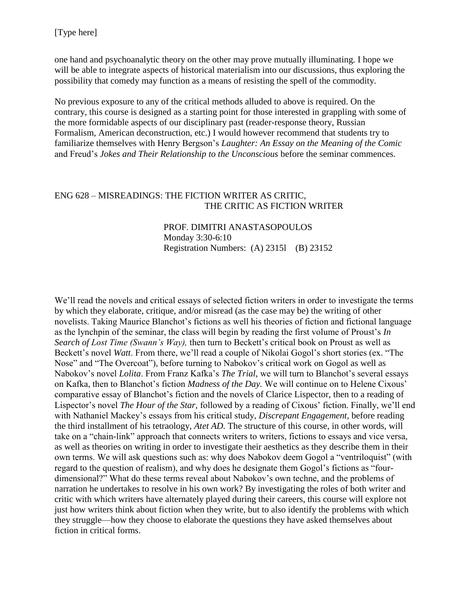one hand and psychoanalytic theory on the other may prove mutually illuminating. I hope we will be able to integrate aspects of historical materialism into our discussions, thus exploring the possibility that comedy may function as a means of resisting the spell of the commodity.

No previous exposure to any of the critical methods alluded to above is required. On the contrary, this course is designed as a starting point for those interested in grappling with some of the more formidable aspects of our disciplinary past (reader-response theory, Russian Formalism, American deconstruction, etc.) I would however recommend that students try to familiarize themselves with Henry Bergson's *Laughter: An Essay on the Meaning of the Comic*  and Freud's *Jokes and Their Relationship to the Unconscious* before the seminar commences.

#### ENG 628 – MISREADINGS: THE FICTION WRITER AS CRITIC, THE CRITIC AS FICTION WRITER

#### PROF. DIMITRI ANASTASOPOULOS Monday 3:30-6:10 Registration Numbers: (A) 2315l (B) 23152

We'll read the novels and critical essays of selected fiction writers in order to investigate the terms by which they elaborate, critique, and/or misread (as the case may be) the writing of other novelists. Taking Maurice Blanchot's fictions as well his theories of fiction and fictional language as the lynchpin of the seminar, the class will begin by reading the first volume of Proust's *In Search of Lost Time (Swann's Way),* then turn to Beckett's critical book on Proust as well as Beckett's novel *Watt*. From there, we'll read a couple of Nikolai Gogol's short stories (ex. "The Nose" and "The Overcoat"), before turning to Nabokov's critical work on Gogol as well as Nabokov's novel *Lolita*. From Franz Kafka's *The Trial,* we will turn to Blanchot's several essays on Kafka, then to Blanchot's fiction *Madness of the Day.* We will continue on to Helene Cixous' comparative essay of Blanchot's fiction and the novels of Clarice Lispector, then to a reading of Lispector's novel *The Hour of the Star,* followed by a reading of Cixous' fiction. Finally, we'll end with Nathaniel Mackey's essays from his critical study, *Discrepant Engagement,* before reading the third installment of his tetraology, *Atet AD.* The structure of this course, in other words, will take on a "chain-link" approach that connects writers to writers, fictions to essays and vice versa, as well as theories on writing in order to investigate their aesthetics as they describe them in their own terms. We will ask questions such as: why does Nabokov deem Gogol a "ventriloquist" (with regard to the question of realism), and why does he designate them Gogol's fictions as "fourdimensional?" What do these terms reveal about Nabokov's own techne, and the problems of narration he undertakes to resolve in his own work? By investigating the roles of both writer and critic with which writers have alternately played during their careers, this course will explore not just how writers think about fiction when they write, but to also identify the problems with which they struggle—how they choose to elaborate the questions they have asked themselves about fiction in critical forms.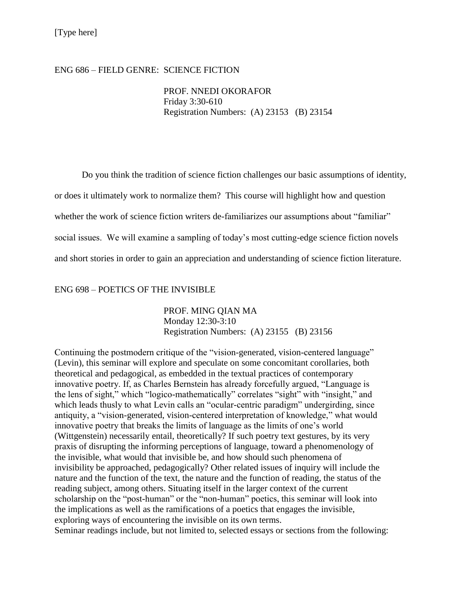#### ENG 686 – FIELD GENRE: SCIENCE FICTION

PROF. NNEDI OKORAFOR Friday 3:30-610 Registration Numbers: (A) 23153 (B) 23154

Do you think the tradition of science fiction challenges our basic assumptions of identity, or does it ultimately work to normalize them? This course will highlight how and question whether the work of science fiction writers de-familiarizes our assumptions about "familiar" social issues. We will examine a sampling of today's most cutting-edge science fiction novels and short stories in order to gain an appreciation and understanding of science fiction literature.

#### ENG 698 – POETICS OF THE INVISIBLE

PROF. MING QIAN MA Monday 12:30-3:10 Registration Numbers: (A) 23155 (B) 23156

Continuing the postmodern critique of the "vision-generated, vision-centered language" (Levin), this seminar will explore and speculate on some concomitant corollaries, both theoretical and pedagogical, as embedded in the textual practices of contemporary innovative poetry. If, as Charles Bernstein has already forcefully argued, "Language is the lens of sight," which "logico-mathematically" correlates "sight" with "insight," and which leads thusly to what Levin calls an "ocular-centric paradigm" undergirding, since antiquity, a "vision-generated, vision-centered interpretation of knowledge," what would innovative poetry that breaks the limits of language as the limits of one's world (Wittgenstein) necessarily entail, theoretically? If such poetry text gestures, by its very praxis of disrupting the informing perceptions of language, toward a phenomenology of the invisible, what would that invisible be, and how should such phenomena of invisibility be approached, pedagogically? Other related issues of inquiry will include the nature and the function of the text, the nature and the function of reading, the status of the reading subject, among others. Situating itself in the larger context of the current scholarship on the "post-human" or the "non-human" poetics, this seminar will look into the implications as well as the ramifications of a poetics that engages the invisible, exploring ways of encountering the invisible on its own terms. Seminar readings include, but not limited to, selected essays or sections from the following: